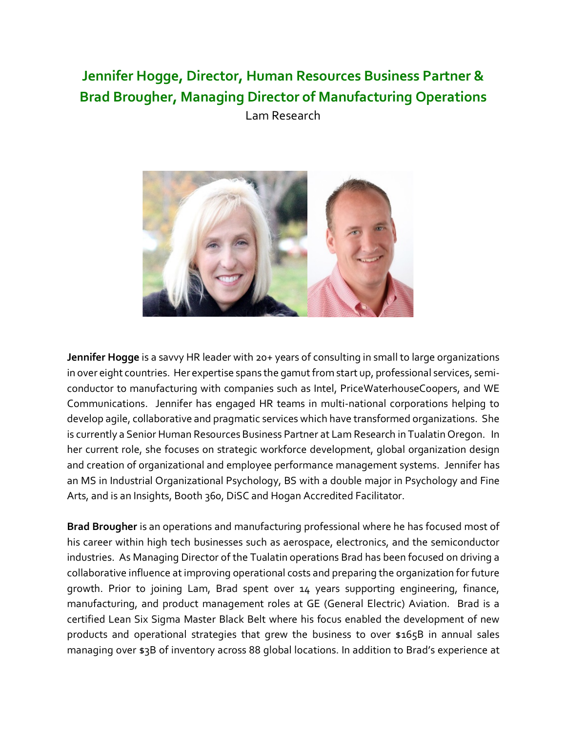## **Jennifer Hogge, Director, Human Resources Business Partner & Brad Brougher, Managing Director of Manufacturing Operations**

Lam Research



**Jennifer Hogge** is a savvy HR leader with 20+ years of consulting in small to large organizations in over eight countries. Her expertise spans the gamut from start up, professional services, semiconductor to manufacturing with companies such as Intel, PriceWaterhouseCoopers, and WE Communications. Jennifer has engaged HR teams in multi-national corporations helping to develop agile, collaborative and pragmatic services which have transformed organizations. She is currently a Senior Human Resources Business Partner at Lam Research in Tualatin Oregon. In her current role, she focuses on strategic workforce development, global organization design and creation of organizational and employee performance management systems. Jennifer has an MS in Industrial Organizational Psychology, BS with a double major in Psychology and Fine Arts, and is an Insights, Booth 360, DiSC and Hogan Accredited Facilitator.

**Brad Brougher** is an operations and manufacturing professional where he has focused most of his career within high tech businesses such as aerospace, electronics, and the semiconductor industries. As Managing Director of the Tualatin operations Brad has been focused on driving a collaborative influence at improving operational costs and preparing the organization for future growth. Prior to joining Lam, Brad spent over 14 years supporting engineering, finance, manufacturing, and product management roles at GE (General Electric) Aviation. Brad is a certified Lean Six Sigma Master Black Belt where his focus enabled the development of new products and operational strategies that grew the business to over \$165B in annual sales managing over \$3B of inventory across 88 global locations. In addition to Brad's experience at